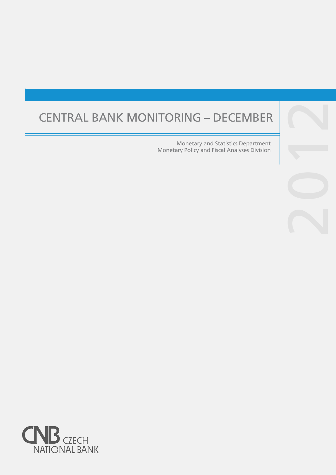# CENTRAL BANK MONITORING – DECEMBER

Monetary and Statistics Department Monetary Policy and Fiscal Analyses Division



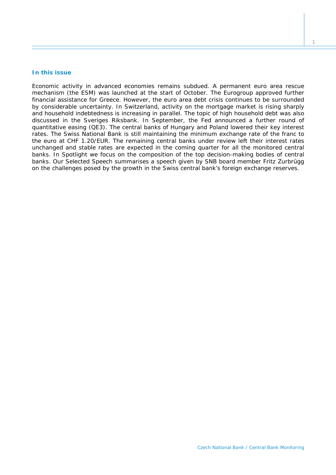## **In this issue**

*Economic activity in advanced economies remains subdued. A permanent euro area rescue mechanism (the ESM) was launched at the start of October. The Eurogroup approved further financial assistance for Greece. However, the euro area debt crisis continues to be surrounded by considerable uncertainty. In Switzerland, activity on the mortgage market is rising sharply and household indebtedness is increasing in parallel. The topic of high household debt was also discussed in the Sveriges Riksbank. In September, the Fed announced a further round of quantitative easing (QE3). The central banks of Hungary and Poland lowered their key interest rates. The Swiss National Bank is still maintaining the minimum exchange rate of the franc to the euro at CHF 1.20/EUR. The remaining central banks under review left their interest rates unchanged and stable rates are expected in the coming quarter for all the monitored central banks. In* Spotlight *we focus on the composition of the top decision-making bodies of central banks. Our* Selected Speech *summarises a speech given by SNB board member Fritz Zurbrügg on the challenges posed by the growth in the Swiss central bank's foreign exchange reserves*.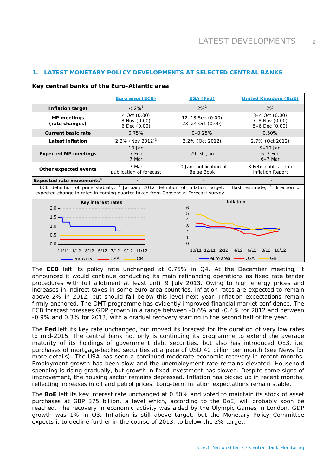# **1. LATEST MONETARY POLICY DEVELOPMENTS AT SELECTED CENTRAL BANKS**

#### **Key central banks of the Euro-Atlantic area**

|                                                                                                                                                                                                                                         | Euro area (ECB)                              | USA (Fed)                                                             | <b>United Kingdom (BoE)</b>                                                  |  |  |  |
|-----------------------------------------------------------------------------------------------------------------------------------------------------------------------------------------------------------------------------------------|----------------------------------------------|-----------------------------------------------------------------------|------------------------------------------------------------------------------|--|--|--|
| <b>Inflation target</b>                                                                                                                                                                                                                 | $< 2\%$ <sup>1</sup>                         | $2%^{2}$                                                              | 2%                                                                           |  |  |  |
| <b>MP</b> meetings<br>(rate changes)                                                                                                                                                                                                    | 4 Oct (0.00)<br>8 Nov (0.00)<br>6 Dec (0.00) | 12-13 Sep (0.00)<br>23-24 Oct (0.00)                                  | 3-4 Oct (0.00)<br>7-8 Nov (0.00)<br>5-6 Dec (0.00)                           |  |  |  |
| <b>Current basic rate</b>                                                                                                                                                                                                               | 0.75%                                        | $0 - 0.25%$                                                           | 0.50%                                                                        |  |  |  |
| <b>Latest inflation</b>                                                                                                                                                                                                                 | 2.2% (Nov 2012) <sup>3</sup>                 | 2.2% (Oct 2012)                                                       | 2.7% (Oct 2012)                                                              |  |  |  |
| <b>Expected MP meetings</b>                                                                                                                                                                                                             | $10$ Jan<br>7 Feb<br>7 Mar                   | 29-30 Jan                                                             | $9-10$ Jan<br>$6-7$ Feb<br>$6-7$ Mar                                         |  |  |  |
| Other expected events                                                                                                                                                                                                                   | 7 Mar<br>publication of forecast             | 10 Jan: publication of<br>Beige Book                                  | 13 Feb: publication of<br><b>Inflation Report</b>                            |  |  |  |
| Expected rate movements <sup>4</sup>                                                                                                                                                                                                    | $\rightarrow$                                |                                                                       | $\rightarrow$                                                                |  |  |  |
| ECB definition of price stability; <sup>2</sup> January 2012 definition of inflation target; <sup>3</sup> flash estimate; <sup>4</sup> direction of<br>expected change in rates in coming quarter taken from Consensus Forecast survey. |                                              |                                                                       |                                                                              |  |  |  |
| Key interest rates<br>2.0<br>1.5<br>1.0<br>0.5<br>0.0<br>11/11 1/12 3/12 5/12 7/12<br>euro area                                                                                                                                         | 9/12 11/12<br><b>USA</b><br><b>GB</b>        | 6<br>5<br>4<br>3<br>2<br>$\Omega$<br>10/11 12/11<br>2/12<br>euro area | <b>Inflation</b><br>8/12<br>10/12<br>4/12<br>6/12<br><b>USA</b><br><b>GB</b> |  |  |  |

The **ECB** left its policy rate unchanged at 0.75% in Q4. At the December meeting, it announced it would continue conducting its main refinancing operations as fixed rate tender procedures with full allotment at least until 9 July 2013. Owing to high energy prices and increases in indirect taxes in some euro area countries, inflation rates are expected to remain above 2% in 2012, but should fall below this level next year. Inflation expectations remain firmly anchored. The OMT programme has evidently improved financial market confidence. The ECB forecast foresees GDP growth in a range between -0.6% and -0.4% for 2012 and between -0.9% and 0.3% for 2013, with a gradual recovery starting in the second half of the year.

The **Fed** left its key rate unchanged, but moved its forecast for the duration of very low rates to mid-2015. The central bank not only is continuing its programme to extend the average maturity of its holdings of government debt securities, but also has introduced QE3, i.e. purchases of mortgage-backed securities at a pace of USD 40 billion per month (see *News* for more details). The USA has seen a continued moderate economic recovery in recent months. Employment growth has been slow and the unemployment rate remains elevated. Household spending is rising gradually, but growth in fixed investment has slowed. Despite some signs of improvement, the housing sector remains depressed. Inflation has picked up in recent months, reflecting increases in oil and petrol prices. Long-term inflation expectations remain stable.

The **BoE** left its key interest rate unchanged at 0.50% and voted to maintain its stock of asset purchases at GBP 375 billion, a level which, according to the BoE, will probably soon be reached. The recovery in economic activity was aided by the Olympic Games in London. GDP growth was 1% in Q3. Inflation is still above target, but the Monetary Policy Committee expects it to decline further in the course of 2013, to below the 2% target.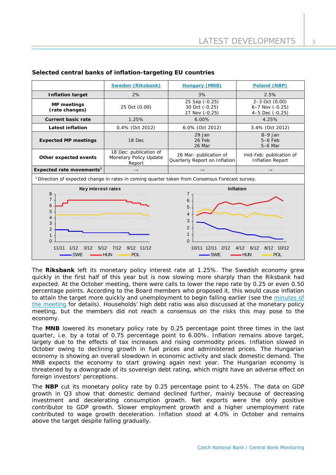|                                                                                                                                                           | Sweden (Riksbank)                                          | <b>Hungary (MNB)</b>                                                                                                                                             | Poland (NBP)                                         |  |  |  |  |
|-----------------------------------------------------------------------------------------------------------------------------------------------------------|------------------------------------------------------------|------------------------------------------------------------------------------------------------------------------------------------------------------------------|------------------------------------------------------|--|--|--|--|
| <b>Inflation target</b>                                                                                                                                   | 2%                                                         | 3%                                                                                                                                                               | 2.5%                                                 |  |  |  |  |
| <b>MP</b> meetings<br>(rate changes)                                                                                                                      | 25 Oct (0.00)                                              | 25 Sep (-0.25)<br>30 Oct (-0.25)<br>27 Nov (-0.25)                                                                                                               | 2-3 Oct (0.00)<br>6-7 Nov (-0.25)<br>4-5 Dec (-0.25) |  |  |  |  |
| <b>Current basic rate</b>                                                                                                                                 | 1.25%                                                      | 6.00%                                                                                                                                                            | 4.25%                                                |  |  |  |  |
| <b>Latest inflation</b>                                                                                                                                   | 0.4% (Oct 2012)                                            | 6.0% (Oct 2012)                                                                                                                                                  | 3.4% (Oct 2012)                                      |  |  |  |  |
| <b>Expected MP meetings</b>                                                                                                                               | 18 Dec                                                     | 29 Jan<br>26 Feb<br>26 Mar                                                                                                                                       | $8-9$ Jan<br>$5-6$ Feb<br>$5-6$ Mar                  |  |  |  |  |
| Other expected events                                                                                                                                     | 18 Dec: publication of<br>Monetary Policy Update<br>Report | 26 Mar: publication of<br>Quarterly Report on Inflation                                                                                                          | mid-Feb: publication of<br><b>Inflation Report</b>   |  |  |  |  |
| Expected rate movements <sup>1</sup>                                                                                                                      | $\rightarrow$                                              | $\rightarrow$                                                                                                                                                    | $\rightarrow$                                        |  |  |  |  |
| <sup>1</sup> Direction of expected change in rates in coming quarter taken from Consensus Forecast survey.                                                |                                                            |                                                                                                                                                                  |                                                      |  |  |  |  |
| Key interest rates<br>8<br>$\overline{7}$<br>6<br>5<br>4<br>3<br>$\overline{2}$<br>$\mathbf 1$<br>$\Omega$<br>11/11<br>1/12<br>3/12<br>5/12<br><b>SWE</b> | 9/12 11/12<br>7/12<br>- HUN<br><b>POL</b>                  | <b>Inflation</b><br>7<br>6<br>5<br>4<br>3<br>$\overline{2}$<br>$\Omega$<br>10/11 12/11<br>2/12<br>8/12<br>10/12<br>4/12<br>6/12<br>$-SWE$<br>- HUN<br><b>POL</b> |                                                      |  |  |  |  |

# **Selected central banks of inflation-targeting EU countries**

The **Riksbank** left its monetary policy interest rate at 1.25%. The Swedish economy grew quickly in the first half of this year but is now slowing more sharply than the Riksbank had expected. At the October meeting, there were calls to lower the repo rate by 0.25 or even 0.50 percentage points. According to the Board members who proposed it, this would cause inflation to attain the target more quickly and unemployment to begin falling earlier (see the [minutes of](http://www.riksbank.se/Documents/Protokoll/Penningpolitiskt/2012/pro_penningpol_121024_eng.pdf) [the meeting](http://www.riksbank.se/Documents/Protokoll/Penningpolitiskt/2012/pro_penningpol_121024_eng.pdf) for details). Households' high debt ratio was also discussed at the monetary policy meeting, but the members did not reach a consensus on the risks this may pose to the economy.

The **MNB** lowered its monetary policy rate by 0.25 percentage point three times in the last quarter, i.e. by a total of 0.75 percentage point to 6.00%. Inflation remains above target, largely due to the effects of tax increases and rising commodity prices. Inflation slowed in October owing to declining growth in fuel prices and administered prices. The Hungarian economy is showing an overall slowdown in economic activity and slack domestic demand. The MNB expects the economy to start growing again next year. The Hungarian economy is threatened by a downgrade of its sovereign debt rating, which might have an adverse effect on foreign investors' perceptions.

The **NBP** cut its monetary policy rate by 0.25 percentage point to 4.25%. The data on GDP growth in Q3 show that domestic demand declined further, mainly because of decreasing investment and decelerating consumption growth. Net exports were the only positive contributor to GDP growth. Slower employment growth and a higher unemployment rate contributed to wage growth deceleration. Inflation stood at 4.0% in October and remains above the target despite falling gradually.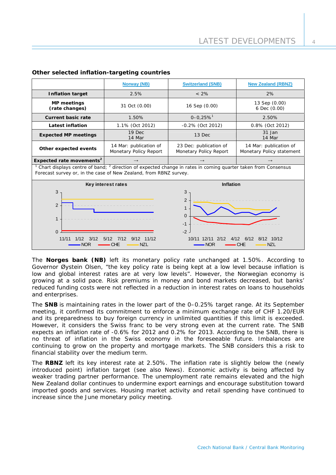|                                                                                                                                                                                          | <b>Norway (NB)</b>                                       | <b>Switzerland (SNB)</b>                                                                                         | <b>New Zealand (RBNZ)</b>                           |  |  |  |
|------------------------------------------------------------------------------------------------------------------------------------------------------------------------------------------|----------------------------------------------------------|------------------------------------------------------------------------------------------------------------------|-----------------------------------------------------|--|--|--|
| <b>Inflation target</b>                                                                                                                                                                  | 2.5%                                                     | $< 2\%$                                                                                                          | 2%                                                  |  |  |  |
| <b>MP</b> meetings<br>(rate changes)                                                                                                                                                     | 31 Oct (0.00)                                            | 16 Sep (0.00)                                                                                                    | 13 Sep (0.00)<br>6 Dec (0.00)                       |  |  |  |
| <b>Current basic rate</b>                                                                                                                                                                | 1.50%                                                    | $0 - 0.25%$ <sup>1</sup>                                                                                         | 2.50%                                               |  |  |  |
| <b>Latest inflation</b>                                                                                                                                                                  | 1.1% (Oct 2012)                                          | -0.2% (Oct 2012)                                                                                                 | 0.8% (Oct 2012)                                     |  |  |  |
| <b>Expected MP meetings</b>                                                                                                                                                              | 19 Dec<br>14 Mar                                         | 13 Dec                                                                                                           | 31 Jan<br>14 Mar                                    |  |  |  |
| Other expected events                                                                                                                                                                    | 14 Mar: publication of<br>Monetary Policy Report         | 23 Dec: publication of<br>Monetary Policy Report                                                                 | 14 Mar: publication of<br>Monetary Policy statement |  |  |  |
| Expected rate movements <sup>2</sup>                                                                                                                                                     | $\rightarrow$                                            | $\rightarrow$                                                                                                    | $\rightarrow$                                       |  |  |  |
| $1$ Chart displays centre of band; $2$ direction of expected change in rates in coming quarter taken from Consensus<br>Forecast survey or, in the case of New Zealand, from RBNZ survey. |                                                          |                                                                                                                  |                                                     |  |  |  |
|                                                                                                                                                                                          | Key interest rates                                       | Inflation                                                                                                        |                                                     |  |  |  |
| 3<br>2<br>1<br>$\Omega$<br>11/11<br>1/12<br>3/12<br><b>NOR</b>                                                                                                                           | 7/12<br>$9/12$ 11/12<br>5/12<br><b>NZL</b><br><b>CHE</b> | 3<br>$\overline{2}$<br>$\mathbf{1}$<br>$\overline{0}$<br>$-1$<br>$-2$<br>2/12<br>10/11<br>12/11<br>4/12<br>NOR • | 6/12<br>10/12<br>8/12<br><b>NZL</b><br><b>CHE</b>   |  |  |  |

## **Other selected inflation-targeting countries**

The **Norges bank (NB)** left its monetary policy rate unchanged at 1.50%. According to Governor Øystein Olsen, "the key policy rate is being kept at a low level because inflation is low and global interest rates are at very low levels". However, the Norwegian economy is growing at a solid pace. Risk premiums in money and bond markets decreased, but banks' reduced funding costs were not reflected in a reduction in interest rates on loans to households and enterprises.

The **SNB** is maintaining rates in the lower part of the 0–0.25% target range. At its September meeting, it confirmed its commitment to enforce a minimum exchange rate of CHF 1.20/EUR and its preparedness to buy foreign currency in unlimited quantities if this limit is exceeded. However, it considers the Swiss franc to be very strong even at the current rate. The SNB expects an inflation rate of -0.6% for 2012 and 0.2% for 2013. According to the SNB, there is no threat of inflation in the Swiss economy in the foreseeable future. Imbalances are continuing to grow on the property and mortgage markets. The SNB considers this a risk to financial stability over the medium term.

The **RBNZ** left its key interest rate at 2.50%. The inflation rate is slightly below the (newly introduced point) inflation target (see also *News*). Economic activity is being affected by weaker trading partner performance. The unemployment rate remains elevated and the high New Zealand dollar continues to undermine export earnings and encourage substitution toward imported goods and services. Housing market activity and retail spending have continued to increase since the June monetary policy meeting.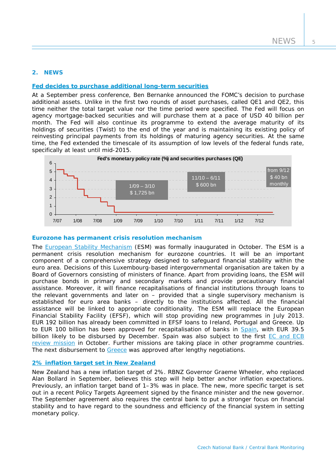## **2. NEWS**

## **[Fed decides to purchase additional long-term securities](http://www.federalreserve.gov/newsevents/press/monetary/20120913a.htm)**

At a September press conference, Ben Bernanke announced the FOMC's decision to purchase additional assets. Unlike in the first two rounds of asset purchases, called QE1 and QE2, this time neither the total target value nor the time period were specified. The Fed will focus on agency mortgage-backed securities and will purchase them at a pace of USD 40 billion per month. The Fed will also continue its programme to extend the average maturity of its holdings of securities (Twist) to the end of the year and is maintaining its existing policy of reinvesting principal payments from its holdings of maturing agency securities. At the same time, the Fed extended the timescale of its assumption of low levels of the federal funds rate, specifically at least until mid-2015.



## **Eurozone has permanent crisis resolution mechanism**

The **European Stability Mechanism** (ESM) was formally inaugurated in October. The ESM is a permanent crisis resolution mechanism for eurozone countries. It will be an important component of a comprehensive strategy designed to safeguard financial stability within the euro area. Decisions of this Luxembourg-based intergovernmental organisation are taken by a Board of Governors consisting of ministers of finance. Apart from providing loans, the ESM will purchase bonds in primary and secondary markets and provide precautionary financial assistance. Moreover, it will finance recapitalisations of financial institutions through loans to the relevant governments and later on – provided that a single supervisory mechanism is established for euro area banks – directly to the institutions affected. All the financial assistance will be linked to appropriate conditionality. The ESM will replace the European Financial Stability Facility (EFSF), which will stop providing new programmes in July 2013. EUR 192 billion has already been committed in EFSF loans to Ireland, Portugal and Greece. Up to EUR 100 billion has been approved for recapitalisation of banks in [Spain,](http://ec.europa.eu/economy_finance/assistance_eu_ms/spain/index_en.htm) with EUR 39.5 billion likely to be disbursed by December. Spain was also subject to the first EC and ECB [review mission](http://www.ecb.europa.eu/press/pr/date/2012/html/pr121026.en.html) in October. Further missions are taking place in other programme countries. The next disbursement to [Greece](http://www.consilium.europa.eu/uedocs/cms_Data/docs/pressdata/en/ecofin/133857.pdf) was approved after lengthy negotiations.

#### **[2% inflation target set in New Zealand](http://www.rbnz.govt.nz/news/2012/4941968.html)**

New Zealand has a new inflation target of 2%. RBNZ Governor Graeme Wheeler, who replaced Alan Bollard in September, believes this step will help better anchor inflation expectations. Previously, an inflation target band of 1–3% was in place. The new, more specific target is set out in a recent Policy Targets Agreement signed by the finance minister and the new governor. The September agreement also requires the central bank to put a stronger focus on financial stability and to have regard to the soundness and efficiency of the financial system in setting monetary policy.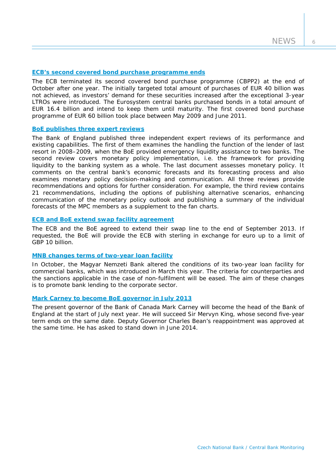6

## **[ECB's second covered bond purchase programme ends](http://www.ecb.europa.eu/press/pr/date/2012/html/pr121031_1.en.html)**

The ECB terminated its second covered bond purchase programme (CBPP2) at the end of October after one year. The initially targeted total amount of purchases of EUR 40 billion was not achieved, as investors' demand for these securities increased after the exceptional 3-year LTROs were introduced. The Eurosystem central banks purchased bonds in a total amount of EUR 16.4 billion and intend to keep them until maturity. The first covered bond purchase programme of EUR 60 billion took place between May 2009 and June 2011.

#### **[BoE publishes three expert reviews](http://www.bankofengland.co.uk/publications/Pages/news/2012/102.aspx)**

The Bank of England published three independent expert reviews of its performance and existing capabilities. The first of them examines the handling the function of the lender of last resort in 2008–2009, when the BoE provided emergency liquidity assistance to two banks. The second review covers monetary policy implementation, i.e. the framework for providing liquidity to the banking system as a whole. The last document assesses monetary policy. It comments on the central bank's economic forecasts and its forecasting process and also examines monetary policy decision-making and communication. All three reviews provide recommendations and options for further consideration. For example, the third review contains 21 recommendations, including the options of publishing alternative scenarios, enhancing communication of the monetary policy outlook and publishing a summary of the individual forecasts of the MPC members as a supplement to the fan charts.

# **[ECB and BoE extend swap facility agreement](http://www.bankofengland.co.uk/publications/Pages/news/2012/083.aspx)**

The ECB and the BoE agreed to extend their swap line to the end of September 2013. If requested, the BoE will provide the ECB with sterling in exchange for euro up to a limit of GBP 10 billion.

## **[MNB changes terms of two-year loan facility](http://english.mnb.hu/Sajtoszoba/online/mnben_pressreleases/mnben_pressreleases_2012/mnben_pressrelease_20120926)**

In October, the Magyar Nemzeti Bank altered the conditions of its two-year loan facility for commercial banks, which was introduced in March this year. The criteria for counterparties and the sanctions applicable in the case of non-fulfilment will be eased. The aim of these changes is to promote bank lending to the corporate sector.

#### **[Mark Carney to become BoE governor in July 2013](http://www.bankofengland.co.uk/publications/Pages/news/2012/130.aspx)**

The present governor of the Bank of Canada Mark Carney will become the head of the Bank of England at the start of July next year. He will succeed Sir Mervyn King, whose second five-year term ends on the same date. Deputy Governor Charles Bean's reappointment was approved at the same time. He has asked to stand down in June 2014.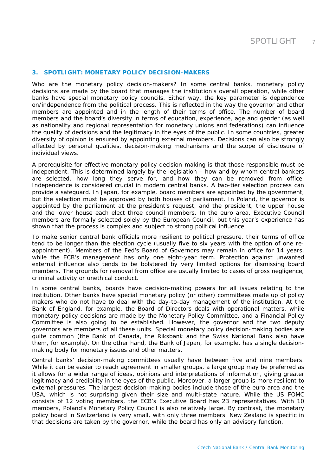#### **3. SPOTLIGHT: MONETARY POLICY DECISION-MAKERS**

*Who are the monetary policy decision-makers? In some central banks, monetary policy*  decisions are made by the board that manages the institution's overall operation, while other *banks have special monetary policy councils. Either way, the key parameter is dependence on/independence from the political process. This is reflected in the way the governor and other members are appointed and in the length of their terms of office. The number of board members and the board's diversity in terms of education, experience, age and gender (as well as nationality and regional representation for monetary unions and federations) can influence the quality of decisions and the legitimacy in the eyes of the public. In some countries, greater diversity of opinion is ensured by appointing external members. Decisions can also be strongly affected by personal qualities, decision-making mechanisms and the scope of disclosure of individual views.* 

A prerequisite for effective monetary-policy decision-making is that those responsible must be independent. This is determined largely by the legislation – how and by whom central bankers are selected, how long they serve for, and how they can be removed from office. Independence is considered crucial in modern central banks. A two-tier selection process can provide a safeguard. In Japan, for example, board members are appointed by the government, but the selection must be approved by both houses of parliament. In Poland, the governor is appointed by the parliament at the president's request, and the president, the upper house and the lower house each elect three council members. In the euro area, Executive Council members are formally selected solely by the European Council, but this year's experience has shown that the process is complex and subject to strong political influence.

To make senior central bank officials more resilient to political pressure, their terms of office tend to be longer than the election cycle (usually five to six years with the option of one reappointment). Members of the Fed's Board of Governors may remain in office for 14 years, while the ECB's management has only one eight-year term. Protection against unwanted external influence also tends to be bolstered by very limited options for dismissing board members. The grounds for removal from office are usually limited to cases of gross negligence, criminal activity or unethical conduct.

In some central banks, boards have decision-making powers for all issues relating to the institution. Other banks have special monetary policy (or other) committees made up of policy makers who do not have to deal with the day-to-day management of the institution. At the Bank of England, for example, the Board of Directors deals with operational matters, while monetary policy decisions are made by the Monetary Policy Committee, and a Financial Policy Committee is also going to be established. However, the governor and the two deputy governors are members of all these units. Special monetary policy decision-making bodies are quite common (the Bank of Canada, the Riksbank and the Swiss National Bank also have them, for example). On the other hand, the Bank of Japan, for example, has a single decisionmaking body for monetary issues and other matters.

Central banks' decision-making committees usually have between five and nine members. While it can be easier to reach agreement in smaller groups, a large group may be preferred as it allows for a wider range of ideas, opinions and interpretations of information, giving greater legitimacy and credibility in the eyes of the public. Moreover, a larger group is more resilient to external pressures. The largest decision-making bodies include those of the euro area and the USA, which is not surprising given their size and multi-state nature. While the US FOMC consists of 12 voting members, the ECB's Executive Board has 23 representatives. With 10 members, Poland's Monetary Policy Council is also relatively large. By contrast, the monetary policy board in Switzerland is very small, with only three members. New Zealand is specific in that decisions are taken by the governor, while the board has only an advisory function.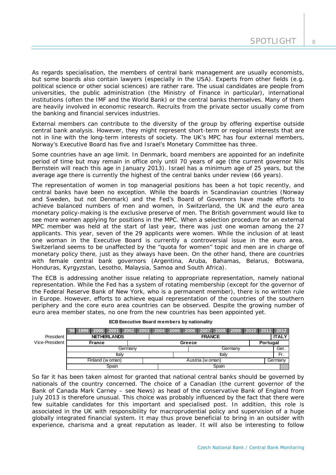As regards specialisation, the members of central bank management are usually economists, but some boards also contain lawyers (especially in the USA). Experts from other fields (e.g. political science or other social sciences) are rather rare. The usual candidates are people from universities, the public administration (the Ministry of Finance in particular), international institutions (often the IMF and the World Bank) or the central banks themselves. Many of them are heavily involved in economic research. Recruits from the private sector usually come from the banking and financial services industries.

External members can contribute to the diversity of the group by offering expertise outside central bank analysis. However, they might represent short-term or regional interests that are not in line with the long-term interests of society. The UK's MPC has four external members, Norway's Executive Board has five and Israel's Monetary Committee has three.

Some countries have an age limit. In Denmark, board members are appointed for an indefinite period of time but may remain in office only until 70 years of age (the current governor Nils Bernstein will reach this age in January 2013). Israel has a minimum age of 25 years, but the average age there is currently the highest of the central banks under review (66 years).

The representation of women in top managerial positions has been a hot topic recently, and central banks have been no exception. While the boards in Scandinavian countries (Norway and Sweden, but not Denmark) and the Fed's Board of Governors have made efforts to achieve balanced numbers of men and women, in Switzerland, the UK and the euro area monetary policy-making is the exclusive preserve of men. The British government would like to see more women applying for positions in the MPC. When a selection procedure for an external MPC member was held at the start of last year, there was just one woman among the 27 applicants. This year, seven of the 29 applicants were women. While the inclusion of at least one woman in the Executive Board is currently a controversial issue in the euro area, Switzerland seems to be unaffected by the "quota for women" topic and men are in charge of monetary policy there, just as they always have been. On the other hand, there are countries with female central bank governors (Argentina, Aruba, Bahamas, Belarus, Botswana, Honduras, Kyrgyzstan, Lesotho, Malaysia, Samoa and South Africa).

The ECB is addressing another issue relating to appropriate representation, namely national representation. While the Fed has a system of rotating membership (except for the governor of the Federal Reserve Bank of New York, who is a permanent member), there is no written rule in Europe. However, efforts to achieve equal representation of the countries of the southern periphery and the core euro area countries can be observed. Despite the growing number of euro area member states, no one from the new countries has been appointed yet.

|                | 1999 I           | 2000 2001 2002 2003 2004 2005 2006 |  |  |                  |       |  |        | 2007          | <b>2008</b> |         | 2009 2010 2011 2012 |          |              |  |
|----------------|------------------|------------------------------------|--|--|------------------|-------|--|--------|---------------|-------------|---------|---------------------|----------|--------------|--|
| President      |                  | <b>NETHERLANDS</b>                 |  |  |                  |       |  |        | <b>FRANCE</b> |             |         |                     |          | <b>ITALY</b> |  |
| Vice-President |                  | <b>France</b>                      |  |  |                  |       |  | Greece |               |             |         |                     | Portugal |              |  |
|                | Germanv          |                                    |  |  | Germany          |       |  |        |               |             |         |                     | Ger.     |              |  |
|                | ltalv            |                                    |  |  |                  | ltalv |  |        |               |             |         |                     |          |              |  |
|                | Finland (w oman) |                                    |  |  | Austria (w oman) |       |  |        |               |             | Germany |                     |          |              |  |
|                | Spain            |                                    |  |  | Spain            |       |  |        |               |             |         |                     |          |              |  |

**ECB Executive Board members by nationality**

So far it has been taken almost for granted that national central banks should be governed by nationals of the country concerned. The choice of a Canadian (the current governor of the Bank of Canada Mark Carney – see *News*) as head of the conservative Bank of England from July 2013 is therefore unusual. This choice was probably influenced by the fact that there were few suitable candidates for this important and specialised post. In addition, this role is associated in the UK with responsibility for macroprudential policy and supervision of a huge globally integrated financial system. It may thus prove beneficial to bring in an outsider with experience, charisma and a great reputation as leader. It will also be interesting to follow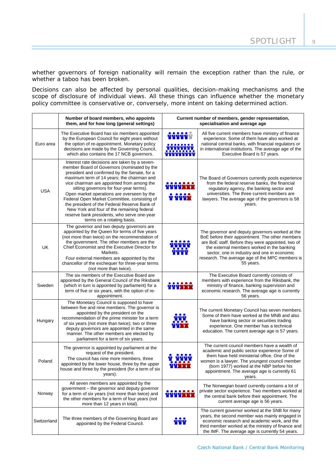whether governors of foreign nationality will remain the exception rather than the rule, or whether a taboo has been broken.

Decisions can also be affected by personal qualities, decision-making mechanisms and the scope of disclosure of individual views. All these things can influence whether the monetary policy committee is conservative or, conversely, more intent on taking determined action.

|             | Number of board members, who appoints<br>them, and for how long (general settings)                                                                                                                                                                                                                                                                                                                                                                                                                                                                           | Current number of members, gender representation,<br>specialisation and average age |                                                                                                                                                                                                                                                                                                                      |  |  |
|-------------|--------------------------------------------------------------------------------------------------------------------------------------------------------------------------------------------------------------------------------------------------------------------------------------------------------------------------------------------------------------------------------------------------------------------------------------------------------------------------------------------------------------------------------------------------------------|-------------------------------------------------------------------------------------|----------------------------------------------------------------------------------------------------------------------------------------------------------------------------------------------------------------------------------------------------------------------------------------------------------------------|--|--|
| Euro area   | The Executive Board has six members appointed<br>by the European Council for eight years without<br>the option of re-appointment. Monetary policy<br>decisions are made by the Governing Council,<br>which also contains the 17 NCB governors.                                                                                                                                                                                                                                                                                                               |                                                                                     | All five current members have ministry of finance<br>experience. Some of them have also worked at<br>national central banks, with financial regulators or<br>in international institutions. The average age of the<br>Executive Board is 57 years.                                                                   |  |  |
| <b>USA</b>  | Interest rate decisions are taken by a seven-<br>member Board of Governors (nominated by the<br>president and confirmed by the Senate, for a<br>maximum term of 14 years; the chairman and<br>vice chairman are appointed from among the<br>sitting governors for four-year terms).<br>Open market operations are overseen by the<br>Federal Open Market Committee, consisting of<br>the president of the Federal Reserve Bank of<br>New York and four of the remaining federal<br>reserve bank presidents, who serve one-year<br>terms on a rotating basis. | ro o przyko                                                                         | The Board of Governors currently pools experience<br>from the federal reserve banks, the financial<br>regulatory agency, the banking sector and<br>universities. The three current members are<br>lawyers. The average age of the governors is 58<br>years.                                                          |  |  |
| UK          | The governor and two deputy governors are<br>appointed by the Queen for terms of five years<br>(not more than twice) on the recommendation of<br>the government. The other members are the<br>Chief Economist and the Executive Director for<br>Markets.<br>Four external members are appointed by the<br>chancellor of the exchequer for three-year terms<br>(not more than twice).                                                                                                                                                                         | y y y y y<br>TTTT                                                                   | The governor and deputy governors worked at the<br>BoE before their appointment. The other members<br>are BoE staff. Before they were appointed, two of<br>the external members worked in the banking<br>sector, one in industry and one in economic<br>research. The average age of the MPC members is<br>55 years. |  |  |
| Sweden      | The six members of the Executive Board are<br>appointed by the General Council of the Riksbank<br>(which in turn is appointed by parliament) for a<br>term of five or six years, with the option of re-<br>appointment.                                                                                                                                                                                                                                                                                                                                      |                                                                                     | The Executive Board currently consists of<br>members with experience from the Riksbank, the<br>ministry of finance, banking supervision and<br>economic research. The average age is currently<br>56 years.                                                                                                          |  |  |
| Hungary     | The Monetary Council is supposed to have<br>between five and nine members. The governor is<br>appointed by the president on the<br>recommendation of the prime minister for a term<br>of six years (not more than twice); two or three<br>deputy governors are appointed in the same<br>manner. The other members are elected by<br>parliament for a term of six years.                                                                                                                                                                                      |                                                                                     | The current Monetary Council has seven members.<br>Some of them have worked at the MNB and also<br>have banking sector or securities trading<br>experience. One member has a technical<br>education. The current average age is 57 years.                                                                            |  |  |
| Poland      | The governor is appointed by parliament at the<br>request of the president.<br>The council has nine more members, three<br>appointed by the lower house, three by the upper<br>house and three by the president (for a term of six<br>years).                                                                                                                                                                                                                                                                                                                |                                                                                     | The current council members have a wealth of<br>academic and public sector experience Some of<br>them have held ministerial office. One of the<br>women is a lawyer. The youngest council member<br>(born 1977) worked at the NBP before his<br>appointment. The average age is currently 61<br>years.               |  |  |
| Norway      | All seven members are appointed by the<br>government – the governor and deputy governor<br>for a term of six years (not more than twice) and<br>the other members for a term of four years (not<br>more than 12 years in total).                                                                                                                                                                                                                                                                                                                             |                                                                                     | The Norwegian board currently contains a lot of<br>private sector experience. Two members worked at<br>the central bank before their appointment. The<br>current average age is 56 years.                                                                                                                            |  |  |
| Switzerland | The three members of the Governing Board are<br>appointed by the Federal Council.                                                                                                                                                                                                                                                                                                                                                                                                                                                                            |                                                                                     | The current governor worked at the SNB for many<br>years, the second member was mainly engaged in<br>economic research and academic work, and the<br>third member worked at the ministry of finance and<br>the IMF. The average age is currently 54 years.                                                           |  |  |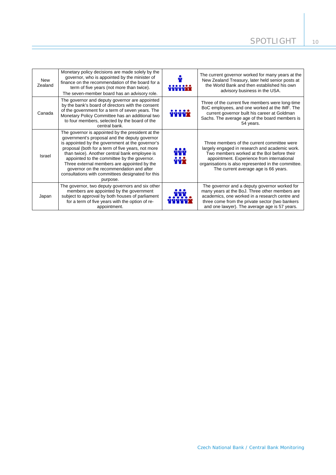| <b>New</b><br>Zealand | Monetary policy decisions are made solely by the<br>governor, who is appointed by the minister of<br>finance on the recommendation of the board for a<br>term of five years (not more than twice).<br>The seven-member board has an advisory role.                                                                                                                                                                                                                      | 999999X      | The current governor worked for many years at the<br>New Zealand Treasury, later held senior posts at<br>the World Bank and then established his own<br>advisory business in the USA.                                                                                                    |
|-----------------------|-------------------------------------------------------------------------------------------------------------------------------------------------------------------------------------------------------------------------------------------------------------------------------------------------------------------------------------------------------------------------------------------------------------------------------------------------------------------------|--------------|------------------------------------------------------------------------------------------------------------------------------------------------------------------------------------------------------------------------------------------------------------------------------------------|
| Canada                | The governor and deputy governor are appointed<br>by the bank's board of directors with the consent<br>of the government for a term of seven years. The<br>Monetary Policy Committee has an additional two<br>to four members, selected by the board of the<br>central bank.                                                                                                                                                                                            | ůůůůž        | Three of the current five members were long-time<br>BoC employees, and one worked at the IMF. The<br>current governor built his career at Goldman<br>Sachs. The average age of the board members is<br>54 years.                                                                         |
| Israel                | The governor is appointed by the president at the<br>government's proposal and the deputy governor<br>is appointed by the government at the governor's<br>proposal (both for a term of five years, not more<br>than twice). Another central bank employee is<br>appointed to the committee by the governor.<br>Three external members are appointed by the<br>governor on the recommendation and after<br>consultations with committees designated for this<br>purpose. | ù y y<br>ŶŶŶ | Three members of the current committee were<br>largely engaged in research and academic work.<br>Two members worked at the Bol before their<br>appointment. Experience from international<br>organisations is also represented in the committee.<br>The current average age is 66 years. |
| Japan                 | The governor, two deputy governors and six other<br>members are appointed by the government<br>subject to approval by both houses of parliament<br>for a term of five years with the option of re-<br>appointment.                                                                                                                                                                                                                                                      |              | The governor and a deputy governor worked for<br>many years at the BoJ. Three other members are<br>academics, one worked in a research centre and<br>three come from the private sector (two bankers<br>and one lawyer). The average age is 57 years.                                    |